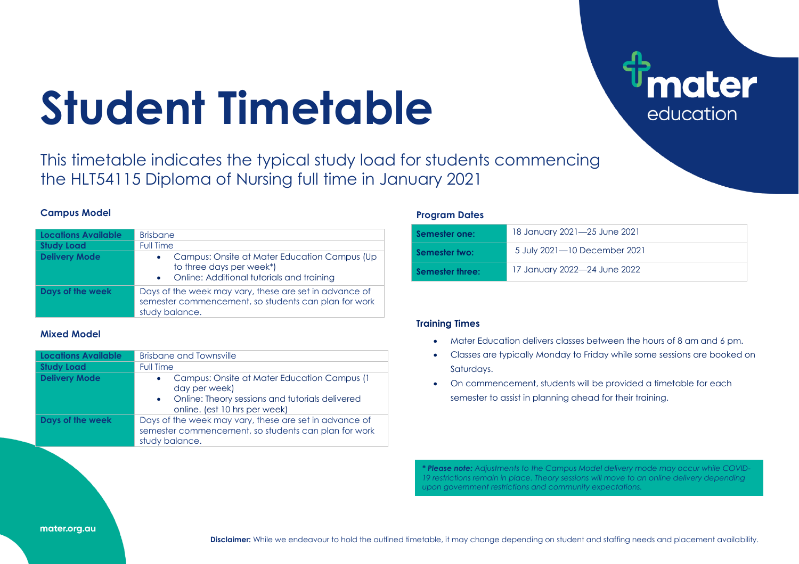# **Student Timetable**

This timetable indicates the typical study load for students commencing the HLT54115 Diploma of Nursing full time in January 2021

### **Campus Model**

| Locations Available  | <b>Brisbane</b>                                                                                                                  |
|----------------------|----------------------------------------------------------------------------------------------------------------------------------|
| <b>Study Load</b>    | Full Time                                                                                                                        |
| <b>Delivery Mode</b> | Campus: Onsite at Mater Education Campus (Up<br>to three days per week*)<br>• Online: Additional tutorials and training          |
| Days of the week     | Days of the week may vary, these are set in advance of<br>semester commencement, so students can plan for work<br>study balance. |

## **Mixed Model**

| <b>Locations Available</b> | <b>Brisbane and Townsville</b>                                                                                                                     |  |  |  |  |  |  |  |  |  |
|----------------------------|----------------------------------------------------------------------------------------------------------------------------------------------------|--|--|--|--|--|--|--|--|--|
| <b>Study Load</b>          | <b>Full Time</b>                                                                                                                                   |  |  |  |  |  |  |  |  |  |
| <b>Delivery Mode</b>       | Campus: Onsite at Mater Education Campus (1<br>day per week)<br>• Online: Theory sessions and tutorials delivered<br>online. (est 10 hrs per week) |  |  |  |  |  |  |  |  |  |
| Days of the week           | Days of the week may vary, these are set in advance of<br>semester commencement, so students can plan for work<br>study balance.                   |  |  |  |  |  |  |  |  |  |

#### **Program Dates**

| Semester one:   | 18 January 2021-25 June 2021 |
|-----------------|------------------------------|
| Semester two:   | 5 July 2021-10 December 2021 |
| Semester three: | 17 January 2022—24 June 2022 |

**nater** 

education

# **Training Times**

- Mater Education delivers classes between the hours of 8 am and 6 pm.
- Classes are typically Monday to Friday while some sessions are booked on Saturdays.
- On commencement, students will be provided a timetable for each semester to assist in planning ahead for their training.

*\* Please note: Adjustments to the Campus Model delivery mode may occur while COVID-19 restrictions remain in place. Theory sessions will move to an online delivery depending upon government restrictions and community expectations.*

#### mater.org.au